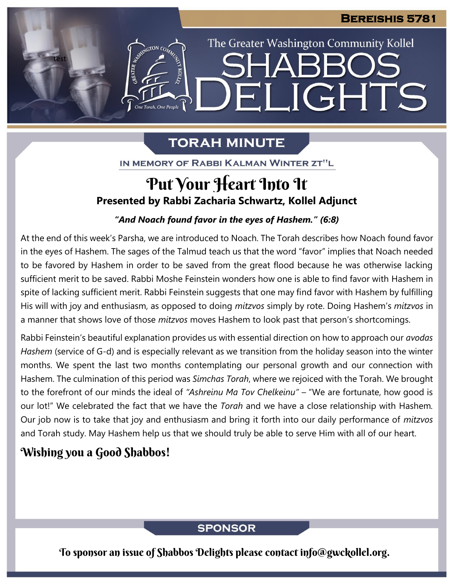The Greater Washington Community Kollel

ELIGHTS

# **TORAH MINUTE**

IN MEMORY OF RABBI KALMAN WINTER ZT"L

# **Presented by Rabbi Zacharia Schwartz, Kollel Adjunct** Put Your Heart Into It

#### *"And Noach found favor in the eyes of Hashem." (6:8)*  $\mathbf{F}$  **From**  $\mathbf{F}$

At the end of this week's Parsha, we are introduced to Noach. The Torah describes how Noach found favor in the eyes of Hashem. The sages of the Talmud teach us that the word "favor" implies that Noach needed to be favored by Hashem in order to be saved from the great flood because he was otherwise lacking sufficient merit to be saved. Rabbi Moshe Feinstein wonders how one is able to find favor with Hashem in spite of lacking sufficient merit. Rabbi Feinstein suggests that one may find favor with Hashem by fulfilling His will with joy and enthusiasm, as opposed to doing *mitzvos* simply by rote. Doing Hashem's *mitzvos* in a manner that shows love of those *mitzvos* moves Hashem to look past that person's shortcomings.

Rabbi Feinstein's beautiful explanation provides us with essential direction on how to approach our *avodas Hashem* (service of G-d) and is especially relevant as we transition from the holiday season into the winter months. We spent the last two months contemplating our personal growth and our connection with Hashem. The culmination of this period was *Simchas Torah*, where we rejoiced with the Torah. We brought to the forefront of our minds the ideal of *"Ashreinu Ma Tov Chelkeinu" –* "We are fortunate, how good is our lot!" We celebrated the fact that we have the *Torah* and we have a close relationship with Hashem*.* Our job now is to take that joy and enthusiasm and bring it forth into our daily performance of *mitzvos* and Torah study. May Hashem help us that we should truly be able to serve Him with all of our heart.

## Wishing you a Good Shabbos!

test

### **SPONSOR**

To sponsor an issue of Shabbos Delights please contact info@gwckollel.org.